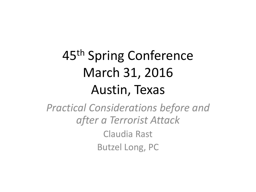## 45th Spring Conference March 31, 2016 Austin, Texas

*Practical Considerations before and after a Terrorist Attack* Claudia Rast Butzel Long, PC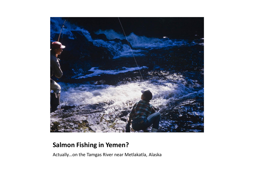

#### **Salmon Fishing in Yemen?**

Actually…on the Tamgas River near Metlakatla, Alaska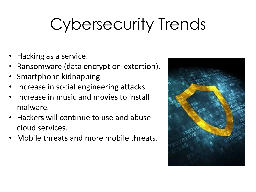# Cybersecurity Trends

- Hacking as a service.
- Ransomware (data encryption-extortion).
- Smartphone kidnapping.
- Increase in social engineering attacks.
- Increase in music and movies to install malware.
- Hackers will continue to use and abuse cloud services.
- Mobile threats and more mobile threats.

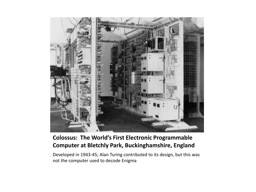

#### **Colossus: The World's First Electronic Programmable Computer at Bletchly Park, Buckinghamshire, England**

Developed in 1943-45; Alan Turing contributed to its design, but this was not the computer used to decode Enigma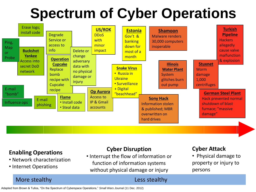### **Spectrum of Cyber Operations**



#### **Enabling Operations**

- Network characterization
- Internet Operations

#### **Cyber Disruption**

• Interrupt the flow of information or function of information systems without physical damage or injury

#### **Cyber Attack**

• Physical damage to property or injury to persons

5

#### More stealthy **Less** stealthy **Less** stealthy

Adapted from Brown & Tullos, "On the Spectrum of Cyberspace Operations," *Small Wars Journal* (11 Dec. 2012)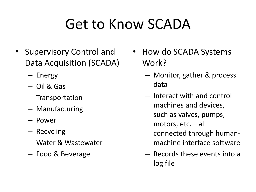### Get to Know SCADA

- Supervisory Control and Data Acquisition (SCADA)
	- Energy
	- Oil & Gas
	- Transportation
	- Manufacturing
	- Power
	- Recycling
	- Water & Wastewater
	- Food & Beverage
- How do SCADA Systems Work?
	- Monitor, gather & process data
	- Interact with and control machines and devices, such as valves, pumps, motors, etc.—all connected through humanmachine interface software
	- Records these events into a log file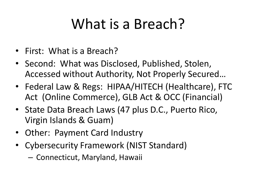### What is a Breach?

- First: What is a Breach?
- Second: What was Disclosed, Published, Stolen, Accessed without Authority, Not Properly Secured…
- Federal Law & Regs: HIPAA/HITECH (Healthcare), FTC Act (Online Commerce), GLB Act & OCC (Financial)
- State Data Breach Laws (47 plus D.C., Puerto Rico, Virgin Islands & Guam)
- Other: Payment Card Industry
- Cybersecurity Framework (NIST Standard)

– Connecticut, Maryland, Hawaii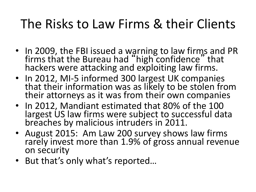#### The Risks to Law Firms & their Clients

- In 2009, the FBI issued a warning to law firms and PR firms that the Bureau had "high confidence" that hackers were attacking and exploiting law firms.
- In 2012, MI-5 informed 300 largest UK companies that their information was as likely to be stolen from their attorneys as it was from their own companies
- In 2012, Mandiant estimated that 80% of the 100 largest US law firms were subject to successful data breaches by malicious intruders in 2011.
- August 2015: Am Law 200 survey shows law firms rarely invest more than 1.9% of gross annual revenue on security
- But that's only what's reported…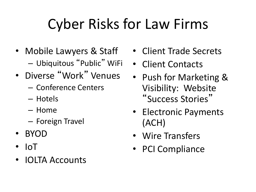### Cyber Risks for Law Firms

- Mobile Lawyers & Staff
	- Ubiquitous "Public" WiFi
- Diverse "Work" Venues
	- Conference Centers
	- Hotels
	- Home
	- Foreign Travel
- BYOD
- IoT
- IOLTA Accounts
- Client Trade Secrets
- Client Contacts
- Push for Marketing & Visibility: Website "Success Stories"
- Electronic Payments (ACH)
- Wire Transfers
- PCI Compliance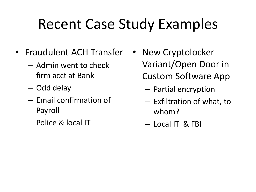### Recent Case Study Examples

- Fraudulent ACH Transfer
	- Admin went to check firm acct at Bank
	- Odd delay
	- Email confirmation of Payroll
	- Police & local IT
- New Cryptolocker Variant/Open Door in Custom Software App
	- Partial encryption
	- Exfiltration of what, to whom?
	- Local IT & FBI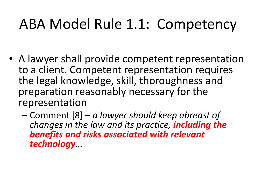### ABA Model Rule 1.1: Competency

- A lawyer shall provide competent representation to a client. Competent representation requires the legal knowledge, skill, thoroughness and preparation reasonably necessary for the representation
	- Comment [8] *a lawyer should keep abreast of changes in the law and its practice, including the benefits and risks associated with relevant technology*…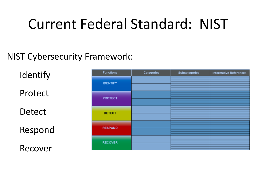### Current Federal Standard: NIST

#### NIST Cybersecurity Framework:

**Identify** 

Protect

**Detect** 

Respond

Recover

| <b>Functions</b> | <b>Categories</b> | <b>Subcategories</b> | <b>Informative References</b> |
|------------------|-------------------|----------------------|-------------------------------|
| <b>IDENTIFY</b>  |                   |                      |                               |
| <b>PROTECT</b>   |                   |                      |                               |
| <b>DETECT</b>    |                   |                      |                               |
| <b>RESPOND</b>   |                   |                      |                               |
| <b>RECOVER</b>   |                   |                      |                               |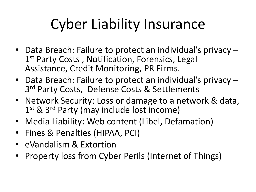### Cyber Liability Insurance

- Data Breach: Failure to protect an individual's privacy 1<sup>st</sup> Party Costs, Notification, Forensics, Legal Assistance, Credit Monitoring, PR Firms.
- Data Breach: Failure to protect an individual's privacy 3<sup>rd</sup> Party Costs, Defense Costs & Settlements
- Network Security: Loss or damage to a network & data, 1<sup>st</sup> & 3<sup>rd</sup> Party (may include lost income)
- Media Liability: Web content (Libel, Defamation)
- Fines & Penalties (HIPAA, PCI)
- eVandalism & Extortion
- Property loss from Cyber Perils (Internet of Things)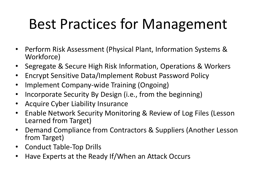### Best Practices for Management

- Perform Risk Assessment (Physical Plant, Information Systems & Workforce)
- Segregate & Secure High Risk Information, Operations & Workers
- Encrypt Sensitive Data/Implement Robust Password Policy
- Implement Company-wide Training (Ongoing)
- Incorporate Security By Design (i.e., from the beginning)
- Acquire Cyber Liability Insurance
- Enable Network Security Monitoring & Review of Log Files (Lesson Learned from Target)
- Demand Compliance from Contractors & Suppliers (Another Lesson from Target)
- Conduct Table-Top Drills
- Have Experts at the Ready If/When an Attack Occurs